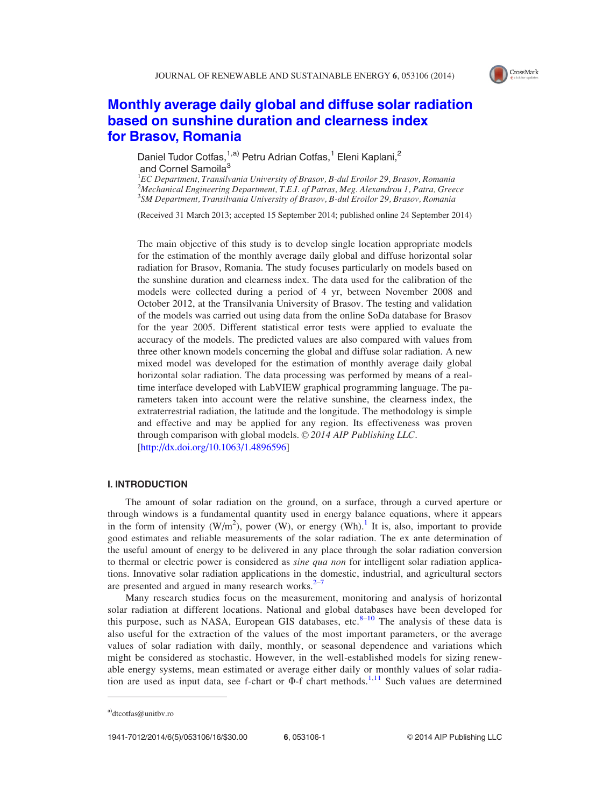

# Monthly average daily global and diffuse solar radiation based on sunshine duration and clearness index for Brasov, Romania

Daniel Tudor Cotfas,<sup>1,a)</sup> Petru Adrian Cotfas,<sup>1</sup> Eleni Kaplani,<sup>2</sup> and Cornel Samoila<sup>3</sup>

 ${}^{1}EC$  Department, Transilvania University of Brasov, B-dul Eroilor 29, Brasov, Romania <sup>2</sup>Mechanical Engineering Department, T.E.I. of Patras, Meg. Alexandrou 1, Patra, Greece 3 SM Department, Transilvania University of Brasov, B-dul Eroilor 29, Brasov, Romania

(Received 31 March 2013; accepted 15 September 2014; published online 24 September 2014)

The main objective of this study is to develop single location appropriate models for the estimation of the monthly average daily global and diffuse horizontal solar radiation for Brasov, Romania. The study focuses particularly on models based on the sunshine duration and clearness index. The data used for the calibration of the models were collected during a period of 4 yr, between November 2008 and October 2012, at the Transilvania University of Brasov. The testing and validation of the models was carried out using data from the online SoDa database for Brasov for the year 2005. Different statistical error tests were applied to evaluate the accuracy of the models. The predicted values are also compared with values from three other known models concerning the global and diffuse solar radiation. A new mixed model was developed for the estimation of monthly average daily global horizontal solar radiation. The data processing was performed by means of a realtime interface developed with LabVIEW graphical programming language. The parameters taken into account were the relative sunshine, the clearness index, the extraterrestrial radiation, the latitude and the longitude. The methodology is simple and effective and may be applied for any region. Its effectiveness was proven through comparison with global models.  $\odot$  2014 AIP Publishing LLC. [http://dx.doi.org/10.1063/1.4896596]

# I. INTRODUCTION

The amount of solar radiation on the ground, on a surface, through a curved aperture or through windows is a fundamental quantity used in energy balance equations, where it appears in the form of intensity (W/m<sup>2</sup>), power (W), or energy (Wh).<sup>1</sup> It is, also, important to provide good estimates and reliable measurements of the solar radiation. The ex ante determination of the useful amount of energy to be delivered in any place through the solar radiation conversion to thermal or electric power is considered as *sine qua non* for intelligent solar radiation applications. Innovative solar radiation applications in the domestic, industrial, and agricultural sectors are presented and argued in many research works. $2-7$ 

Many research studies focus on the measurement, monitoring and analysis of horizontal solar radiation at different locations. National and global databases have been developed for this purpose, such as NASA, European GIS databases, etc. $8-10$  The analysis of these data is also useful for the extraction of the values of the most important parameters, or the average values of solar radiation with daily, monthly, or seasonal dependence and variations which might be considered as stochastic. However, in the well-established models for sizing renewable energy systems, mean estimated or average either daily or monthly values of solar radiation are used as input data, see f-chart or  $\Phi$ -f chart methods.<sup>1,11</sup> Such values are determined

1941-7012/2014/6(5)/053106/16/\$30.00 6, 053106-1 © 2014 AIP Publishing LLC

a)dtcotfas@unitbv.ro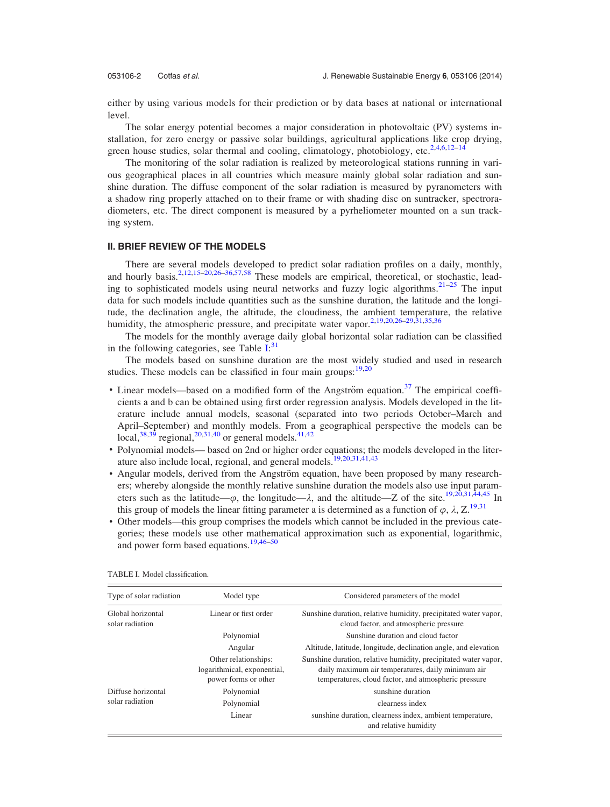either by using various models for their prediction or by data bases at national or international level.

The solar energy potential becomes a major consideration in photovoltaic (PV) systems installation, for zero energy or passive solar buildings, agricultural applications like crop drying, green house studies, solar thermal and cooling, climatology, photobiology, etc. $2,4,6,12-14$ 

The monitoring of the solar radiation is realized by meteorological stations running in various geographical places in all countries which measure mainly global solar radiation and sunshine duration. The diffuse component of the solar radiation is measured by pyranometers with a shadow ring properly attached on to their frame or with shading disc on suntracker, spectroradiometers, etc. The direct component is measured by a pyrheliometer mounted on a sun tracking system.

# II. BRIEF REVIEW OF THE MODELS

There are several models developed to predict solar radiation profiles on a daily, monthly, and hourly basis.<sup>2,12,15–20,26–36,57,58</sup> These models are empirical, theoretical, or stochastic, leading to sophisticated models using neural networks and fuzzy logic algorithms.<sup>21-25</sup> The input data for such models include quantities such as the sunshine duration, the latitude and the longitude, the declination angle, the altitude, the cloudiness, the ambient temperature, the relative humidity, the atmospheric pressure, and precipitate water vapor.<sup>2,19,20,26–29,31,35,36</sup>

The models for the monthly average daily global horizontal solar radiation can be classified in the following categories, see Table I:<sup>31</sup>

The models based on sunshine duration are the most widely studied and used in research studies. These models can be classified in four main groups:  $19,20$ 

- Linear models—based on a modified form of the Angström equation.<sup>37</sup> The empirical coefficients a and b can be obtained using first order regression analysis. Models developed in the literature include annual models, seasonal (separated into two periods October–March and April–September) and monthly models. From a geographical perspective the models can be local,  $38,39$  regional,  $20,31,40$  or general models.  $41,42$
- Polynomial models— based on 2nd or higher order equations; the models developed in the literature also include local, regional, and general models.<sup>19,20,31,41,43</sup>
- Angular models, derived from the Angström equation, have been proposed by many researchers; whereby alongside the monthly relative sunshine duration the models also use input parameters such as the latitude— $\varphi$ , the longitude— $\lambda$ , and the altitude—Z of the site.<sup>19,20,31,44,45</sup> In this group of models the linear fitting parameter a is determined as a function of  $\varphi$ ,  $\lambda$ , Z.<sup>19,31</sup>
- Other models—this group comprises the models which cannot be included in the previous categories; these models use other mathematical approximation such as exponential, logarithmic, and power form based equations.<sup>19,46–50</sup>

TABLE I. Model classification.

| Type of solar radiation              | Model type                                                                  | Considered parameters of the model                                                                                                                                           |  |  |  |  |
|--------------------------------------|-----------------------------------------------------------------------------|------------------------------------------------------------------------------------------------------------------------------------------------------------------------------|--|--|--|--|
| Global horizontal<br>solar radiation | Linear or first order                                                       | Sunshine duration, relative humidity, precipitated water vapor,<br>cloud factor, and atmospheric pressure                                                                    |  |  |  |  |
|                                      | Polynomial                                                                  | Sunshine duration and cloud factor                                                                                                                                           |  |  |  |  |
|                                      | Angular                                                                     | Altitude, latitude, longitude, declination angle, and elevation                                                                                                              |  |  |  |  |
|                                      | Other relationships:<br>logarithmical, exponential,<br>power forms or other | Sunshine duration, relative humidity, precipitated water vapor,<br>daily maximum air temperatures, daily minimum air<br>temperatures, cloud factor, and atmospheric pressure |  |  |  |  |
| Diffuse horizontal                   | Polynomial                                                                  | sunshine duration                                                                                                                                                            |  |  |  |  |
| solar radiation                      | Polynomial                                                                  | clearness index                                                                                                                                                              |  |  |  |  |
|                                      | Linear                                                                      | sunshine duration, clearness index, ambient temperature,<br>and relative humidity                                                                                            |  |  |  |  |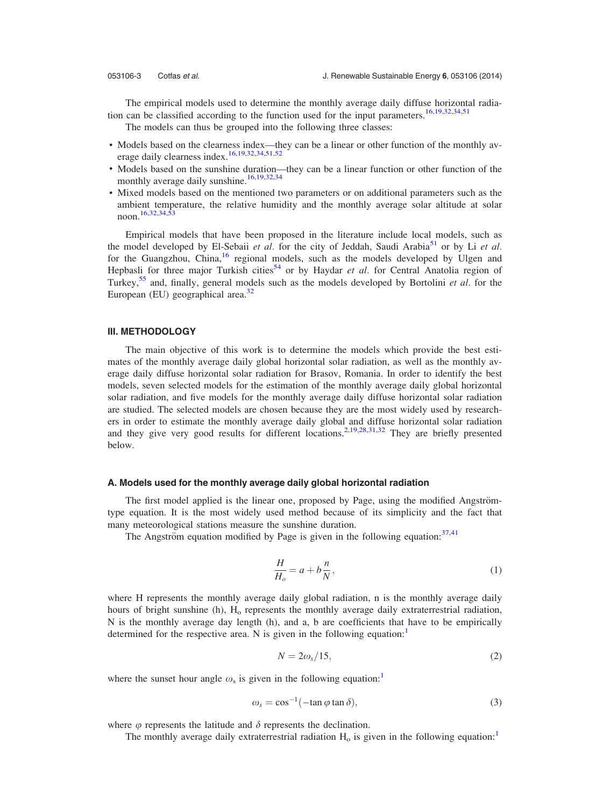The empirical models used to determine the monthly average daily diffuse horizontal radiation can be classified according to the function used for the input parameters.<sup>16,19,32,34,51</sup>

- The models can thus be grouped into the following three classes:
- Models based on the clearness index—they can be a linear or other function of the monthly average daily clearness index.<sup>16,19,32,34,51,52</sup>
- Models based on the sunshine duration—they can be a linear function or other function of the monthly average daily sunshine.<sup>16,19,32,34</sup>
- Mixed models based on the mentioned two parameters or on additional parameters such as the ambient temperature, the relative humidity and the monthly average solar altitude at solar noon.16,32,34,53

Empirical models that have been proposed in the literature include local models, such as the model developed by El-Sebaii et al. for the city of Jeddah, Saudi Arabia<sup>51</sup> or by Li et al. for the Guangzhou, China,<sup>16</sup> regional models, such as the models developed by Ulgen and Hepbasli for three major Turkish cities<sup>54</sup> or by Haydar *et al.* for Central Anatolia region of Turkey,<sup>55</sup> and, finally, general models such as the models developed by Bortolini *et al.* for the European (EU) geographical area. $32$ 

# III. METHODOLOGY

The main objective of this work is to determine the models which provide the best estimates of the monthly average daily global horizontal solar radiation, as well as the monthly average daily diffuse horizontal solar radiation for Brasov, Romania. In order to identify the best models, seven selected models for the estimation of the monthly average daily global horizontal solar radiation, and five models for the monthly average daily diffuse horizontal solar radiation are studied. The selected models are chosen because they are the most widely used by researchers in order to estimate the monthly average daily global and diffuse horizontal solar radiation and they give very good results for different locations.<sup>2,19,28,31,32</sup> They are briefly presented below.

## A. Models used for the monthly average daily global horizontal radiation

The first model applied is the linear one, proposed by Page, using the modified Angströmtype equation. It is the most widely used method because of its simplicity and the fact that many meteorological stations measure the sunshine duration.

The Angström equation modified by Page is given in the following equation:  $37,41$ 

$$
\frac{H}{H_o} = a + b\frac{n}{N},\tag{1}
$$

where H represents the monthly average daily global radiation, n is the monthly average daily hours of bright sunshine (h),  $H_0$  represents the monthly average daily extraterrestrial radiation, N is the monthly average day length (h), and a, b are coefficients that have to be empirically determined for the respective area. N is given in the following equation: $<sup>1</sup>$ </sup>

$$
N = 2\omega_s/15,\tag{2}
$$

where the sunset hour angle  $\omega_s$  is given in the following equation:<sup>1</sup>

$$
\omega_s = \cos^{-1}(-\tan\varphi\tan\delta),\tag{3}
$$

where  $\varphi$  represents the latitude and  $\delta$  represents the declination.

The monthly average daily extraterrestrial radiation  $H_0$  is given in the following equation:<sup>1</sup>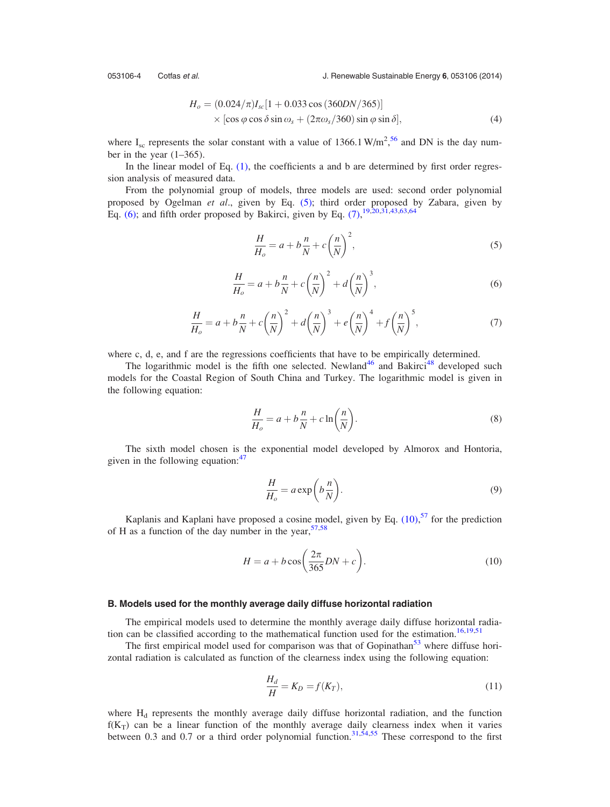$$
H_o = (0.024/\pi)I_{sc}[1 + 0.033\cos(360DN/365)]
$$
  
× [cos  $\varphi$  cos  $\delta$  sin  $\omega_s$  + (2 $\pi\omega_s$ /360) sin  $\varphi$  sin  $\delta$ ], (4)

where  $I_{\rm sc}$  represents the solar constant with a value of 1366.1 W/m<sup>2</sup>,<sup>56</sup> and DN is the day number in the year  $(1-365)$ .

In the linear model of Eq.  $(1)$ , the coefficients a and b are determined by first order regression analysis of measured data.

From the polynomial group of models, three models are used: second order polynomial proposed by Ogelman et al., given by Eq. (5); third order proposed by Zabara, given by Eq. (6); and fifth order proposed by Bakirci, given by Eq.  $(7)$ ,  $^{19,20,31,43,63,64}$ 

$$
\frac{H}{H_o} = a + b\frac{n}{N} + c\left(\frac{n}{N}\right)^2,\tag{5}
$$

$$
\frac{H}{H_o} = a + b\frac{n}{N} + c\left(\frac{n}{N}\right)^2 + d\left(\frac{n}{N}\right)^3,\tag{6}
$$

$$
\frac{H}{H_o} = a + b\frac{n}{N} + c\left(\frac{n}{N}\right)^2 + d\left(\frac{n}{N}\right)^3 + e\left(\frac{n}{N}\right)^4 + f\left(\frac{n}{N}\right)^5,\tag{7}
$$

where c, d, e, and f are the regressions coefficients that have to be empirically determined.

The logarithmic model is the fifth one selected. Newland<sup>46</sup> and Bakirci<sup>48</sup> developed such models for the Coastal Region of South China and Turkey. The logarithmic model is given in the following equation:

$$
\frac{H}{H_o} = a + b\frac{n}{N} + c\ln\left(\frac{n}{N}\right).
$$
\n(8)

The sixth model chosen is the exponential model developed by Almorox and Hontoria, given in the following equation: $47$ 

$$
\frac{H}{H_o} = a \exp\left(b \frac{n}{N}\right).
$$
\n(9)

Kaplanis and Kaplani have proposed a cosine model, given by Eq.  $(10)$ ,<sup>57</sup> for the prediction of H as a function of the day number in the year,  $57,58$ 

$$
H = a + b \cos\left(\frac{2\pi}{365}DN + c\right).
$$
 (10)

## B. Models used for the monthly average daily diffuse horizontal radiation

The empirical models used to determine the monthly average daily diffuse horizontal radiation can be classified according to the mathematical function used for the estimation.<sup>16,19,51</sup>

The first empirical model used for comparison was that of Gopinathan $53$  where diffuse horizontal radiation is calculated as function of the clearness index using the following equation:

$$
\frac{H_d}{H} = K_D = f(K_T),\tag{11}
$$

where  $H_d$  represents the monthly average daily diffuse horizontal radiation, and the function  $f(K_T)$  can be a linear function of the monthly average daily clearness index when it varies between 0.3 and 0.7 or a third order polynomial function.<sup>31,54,55</sup> These correspond to the first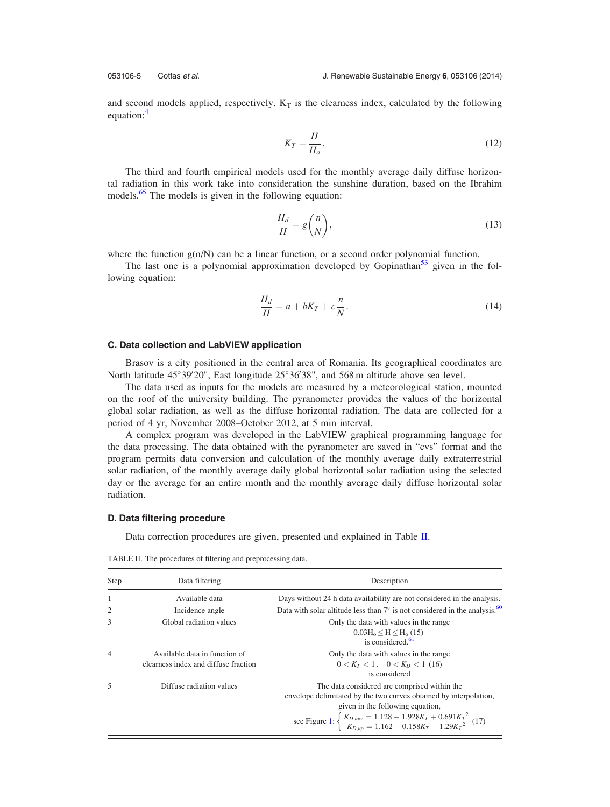and second models applied, respectively.  $K<sub>T</sub>$  is the clearness index, calculated by the following equation:<sup>4</sup>

$$
K_T = \frac{H}{H_o}.\tag{12}
$$

The third and fourth empirical models used for the monthly average daily diffuse horizontal radiation in this work take into consideration the sunshine duration, based on the Ibrahim models.<sup>65</sup> The models is given in the following equation:

$$
\frac{H_d}{H} = g\left(\frac{n}{N}\right),\tag{13}
$$

where the function  $g(n/N)$  can be a linear function, or a second order polynomial function.

The last one is a polynomial approximation developed by Gopinathan<sup>53</sup> given in the following equation:

$$
\frac{H_d}{H} = a + bK_T + c\frac{n}{N}.\tag{14}
$$

## C. Data collection and LabVIEW application

Brasov is a city positioned in the central area of Romania. Its geographical coordinates are North latitude  $45^{\circ}39'20$ ", East longitude  $25^{\circ}36'38$ ", and  $568$  m altitude above sea level.

The data used as inputs for the models are measured by a meteorological station, mounted on the roof of the university building. The pyranometer provides the values of the horizontal global solar radiation, as well as the diffuse horizontal radiation. The data are collected for a period of 4 yr, November 2008–October 2012, at 5 min interval.

A complex program was developed in the LabVIEW graphical programming language for the data processing. The data obtained with the pyranometer are saved in "cvs" format and the program permits data conversion and calculation of the monthly average daily extraterrestrial solar radiation, of the monthly average daily global horizontal solar radiation using the selected day or the average for an entire month and the monthly average daily diffuse horizontal solar radiation.

# D. Data filtering procedure

Data correction procedures are given, presented and explained in Table II.

| Step           | Data filtering                                                        | Description                                                                                                                                                                                                                                                                                  |
|----------------|-----------------------------------------------------------------------|----------------------------------------------------------------------------------------------------------------------------------------------------------------------------------------------------------------------------------------------------------------------------------------------|
| 1              | Available data                                                        | Days without 24 h data availability are not considered in the analysis.                                                                                                                                                                                                                      |
| $\overline{2}$ | Incidence angle                                                       | Data with solar altitude less than $7^{\circ}$ is not considered in the analysis. <sup>60</sup>                                                                                                                                                                                              |
| 3              | Global radiation values                                               | Only the data with values in the range<br>$0.03H_0 \leq H \leq H_0$ (15)<br>is considered. $61$                                                                                                                                                                                              |
| $\overline{4}$ | Available data in function of<br>clearness index and diffuse fraction | Only the data with values in the range<br>$0 < K_T < 1$ , $0 < K_D < 1$ (16)<br>is considered                                                                                                                                                                                                |
| 5              | Diffuse radiation values                                              | The data considered are comprised within the<br>envelope delimitated by the two curves obtained by interpolation,<br>given in the following equation,<br>see Figure 1: $\begin{cases} K_{D,low} = 1.128 - 1.928K_T + 0.691K_T^2 \\ K_{D,up} = 1.162 - 0.158K_T - 1.29K_T^2 \end{cases}$ (17) |

TABLE II. The procedures of filtering and preprocessing data.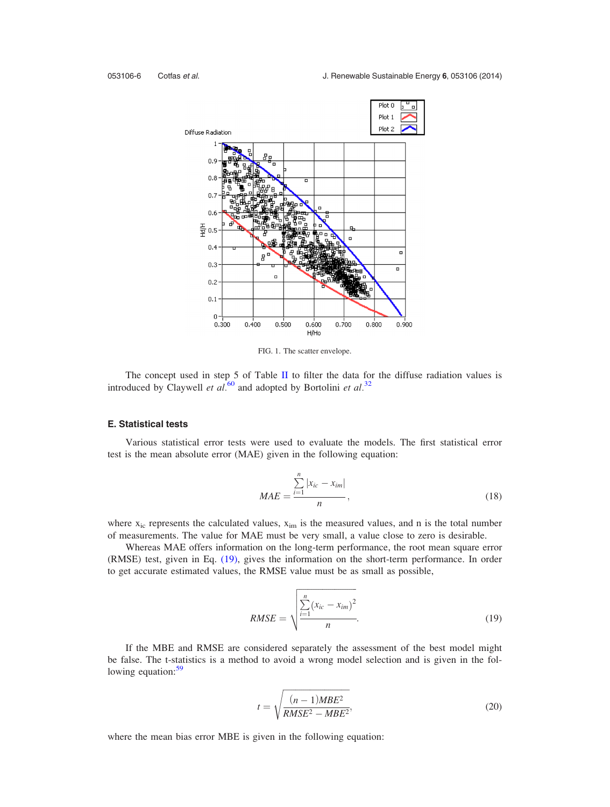

FIG. 1. The scatter envelope.

The concept used in step 5 of Table II to filter the data for the diffuse radiation values is introduced by Claywell et  $al$ <sup>60</sup> and adopted by Bortolini et  $al$ <sup>32</sup>

# E. Statistical tests

Various statistical error tests were used to evaluate the models. The first statistical error test is the mean absolute error (MAE) given in the following equation:

$$
MAE = \frac{\sum_{i=1}^{n} |x_{ic} - x_{im}|}{n},
$$
\n(18)

where  $x_{ic}$  represents the calculated values,  $x_{im}$  is the measured values, and n is the total number of measurements. The value for MAE must be very small, a value close to zero is desirable.

Whereas MAE offers information on the long-term performance, the root mean square error (RMSE) test, given in Eq. (19), gives the information on the short-term performance. In order to get accurate estimated values, the RMSE value must be as small as possible,

RMSE = 
$$
\sqrt{\frac{\sum_{i=1}^{n} (x_{ic} - x_{im})^2}{n}}.
$$
 (19)

If the MBE and RMSE are considered separately the assessment of the best model might be false. The t-statistics is a method to avoid a wrong model selection and is given in the following equation: $59$ 

$$
t = \sqrt{\frac{(n-1)MBE^2}{RMSE^2 - MBE^2}},
$$
\n(20)

where the mean bias error MBE is given in the following equation: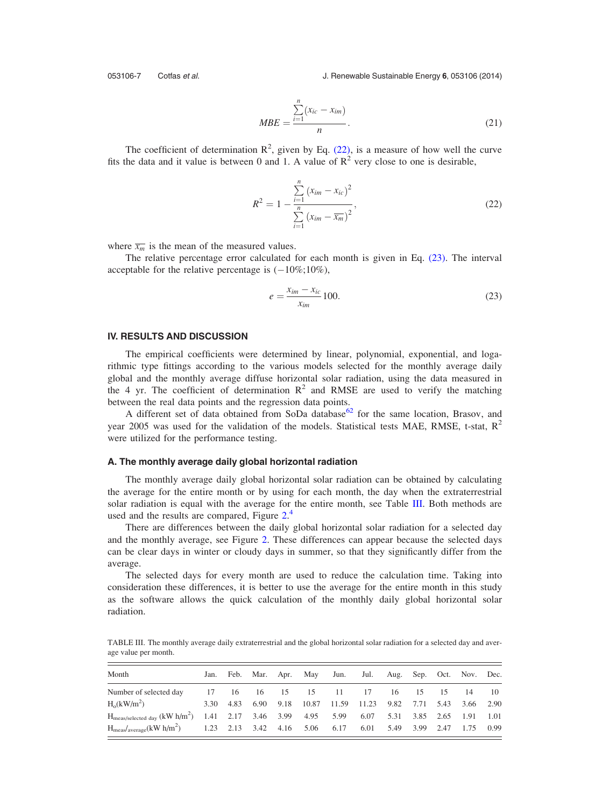053106-7 Cotfas et al.  $\Box$  J. Renewable Sustainable Energy 6, 053106 (2014)

$$
MBE = \frac{\sum_{i=1}^{n} (x_{ic} - x_{im})}{n}.
$$
 (21)

The coefficient of determination  $\mathbb{R}^2$ , given by Eq. (22), is a measure of how well the curve fits the data and it value is between 0 and 1. A value of  $\mathbb{R}^2$  very close to one is desirable,

$$
R^{2} = 1 - \frac{\sum_{i=1}^{n} (x_{im} - x_{ic})^{2}}{\sum_{i=1}^{n} (x_{im} - \overline{x_{m}})^{2}},
$$
\n(22)

where  $\overline{x_m}$  is the mean of the measured values.

The relative percentage error calculated for each month is given in Eq. (23). The interval acceptable for the relative percentage is  $(-10\%;10\%),$ 

$$
e = \frac{x_{im} - x_{ic}}{x_{im}} 100.
$$
 (23)

# IV. RESULTS AND DISCUSSION

The empirical coefficients were determined by linear, polynomial, exponential, and logarithmic type fittings according to the various models selected for the monthly average daily global and the monthly average diffuse horizontal solar radiation, using the data measured in the 4 yr. The coefficient of determination  $R^2$  and RMSE are used to verify the matching between the real data points and the regression data points.

A different set of data obtained from SoDa database<sup>62</sup> for the same location, Brasov, and year 2005 was used for the validation of the models. Statistical tests MAE, RMSE, t-stat,  $R^2$ were utilized for the performance testing.

# A. The monthly average daily global horizontal radiation

The monthly average daily global horizontal solar radiation can be obtained by calculating the average for the entire month or by using for each month, the day when the extraterrestrial solar radiation is equal with the average for the entire month, see Table III. Both methods are used and the results are compared, Figure 2.<sup>4</sup>

There are differences between the daily global horizontal solar radiation for a selected day and the monthly average, see Figure 2. These differences can appear because the selected days can be clear days in winter or cloudy days in summer, so that they significantly differ from the average.

The selected days for every month are used to reduce the calculation time. Taking into consideration these differences, it is better to use the average for the entire month in this study as the software allows the quick calculation of the monthly daily global horizontal solar radiation.

TABLE III. The monthly average daily extraterrestrial and the global horizontal solar radiation for a selected day and average value per month.

| Month                                                                                                             |      |  |  | Jan. Feb. Mar. Apr. May Jun. Jul. Aug. Sep. Oct. Nov. Dec. |  |  |  |
|-------------------------------------------------------------------------------------------------------------------|------|--|--|------------------------------------------------------------|--|--|--|
| Number of selected day                                                                                            |      |  |  | 17 16 16 15 15 11 17 16 15 15 14 10                        |  |  |  |
| $H_0(kW/m^2)$                                                                                                     | 3.30 |  |  | 4.83 6.90 9.18 10.87 11.59 11.23 9.82 7.71 5.43 3.66 2.90  |  |  |  |
| H <sub>meas/selected day</sub> (kW h/m <sup>2</sup> ) 1.41 2.17 3.46 3.99 4.95 5.99 6.07 5.31 3.85 2.65 1.91 1.01 |      |  |  |                                                            |  |  |  |
| $H_{meas/average}(kW h/m^2)$ 1.23 2.13 3.42 4.16 5.06 6.17 6.01 5.49 3.99 2.47 1.75 0.99                          |      |  |  |                                                            |  |  |  |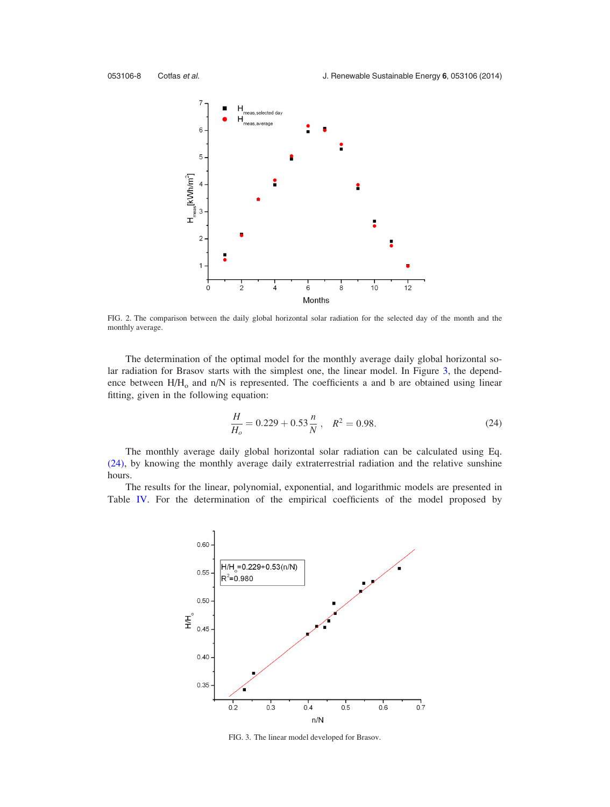

FIG. 2. The comparison between the daily global horizontal solar radiation for the selected day of the month and the monthly average.

The determination of the optimal model for the monthly average daily global horizontal solar radiation for Brasov starts with the simplest one, the linear model. In Figure 3, the dependence between H/H<sub>o</sub> and n/N is represented. The coefficients a and b are obtained using linear fitting, given in the following equation:

$$
\frac{H}{H_o} = 0.229 + 0.53 \frac{n}{N}, \quad R^2 = 0.98. \tag{24}
$$

The monthly average daily global horizontal solar radiation can be calculated using Eq. (24), by knowing the monthly average daily extraterrestrial radiation and the relative sunshine hours.

The results for the linear, polynomial, exponential, and logarithmic models are presented in Table IV. For the determination of the empirical coefficients of the model proposed by



FIG. 3. The linear model developed for Brasov.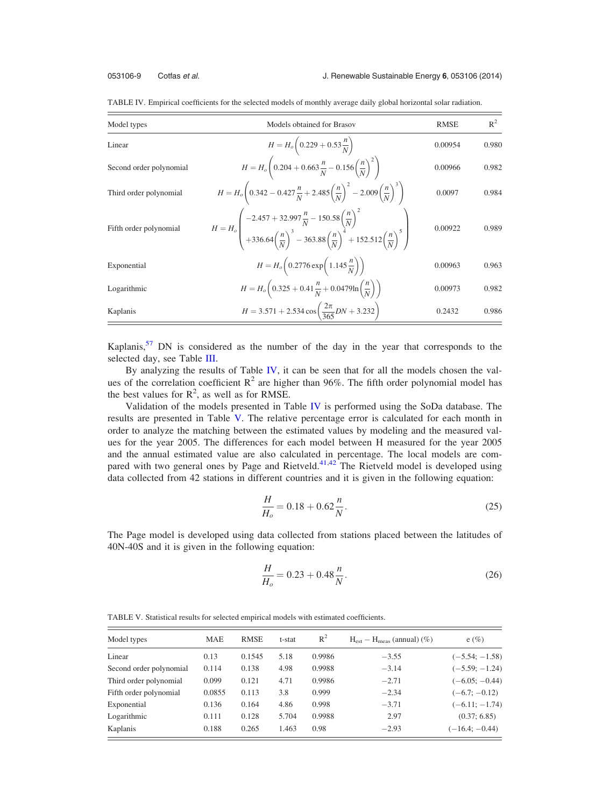| Model types             | Models obtained for Brasov                                                                                                                                                                                   | <b>RMSE</b> | $R^2$ |
|-------------------------|--------------------------------------------------------------------------------------------------------------------------------------------------------------------------------------------------------------|-------------|-------|
| Linear                  | $H = H_o \left( 0.229 + 0.53 \frac{n}{N} \right)$                                                                                                                                                            | 0.00954     | 0.980 |
| Second order polynomial | $H = H_o \left( 0.204 + 0.663 \frac{n}{N} - 0.156 \left( \frac{n}{N} \right)^2 \right)$                                                                                                                      | 0.00966     | 0.982 |
| Third order polynomial  | $H = H_o \left( 0.342 - 0.427 \frac{n}{N} + 2.485 \left( \frac{n}{N} \right)^2 - 2.009 \left( \frac{n}{N} \right)^3 \right)$                                                                                 | 0.0097      | 0.984 |
| Fifth order polynomial  | $H = H_o \left( \frac{-2.457 + 32.997 \frac{n}{N} - 150.58 \left(\frac{n}{N}\right)^2}{+336.64 \left(\frac{n}{N}\right)^3 - 363.88 \left(\frac{n}{N}\right)^4 + 152.512 \left(\frac{n}{N}\right)^5} \right)$ | 0.00922     | 0.989 |
| Exponential             | $H = H_o \left( 0.2776 \exp \left( 1.145 \frac{n}{N} \right) \right)$                                                                                                                                        | 0.00963     | 0.963 |
| Logarithmic             | $H = H_o \left( 0.325 + 0.41 \frac{n}{N} + 0.0479 \ln \left( \frac{n}{N} \right) \right)$                                                                                                                    | 0.00973     | 0.982 |
| Kaplanis                | $H = 3.571 + 2.534 \cos \left( \frac{2\pi}{365} DN + 3.232 \right)$                                                                                                                                          | 0.2432      | 0.986 |

TABLE IV. Empirical coefficients for the selected models of monthly average daily global horizontal solar radiation.

Kaplanis,  $57$  DN is considered as the number of the day in the year that corresponds to the selected day, see Table III.

By analyzing the results of Table IV, it can be seen that for all the models chosen the values of the correlation coefficient  $R^2$  are higher than 96%. The fifth order polynomial model has the best values for  $R^2$ , as well as for RMSE.

Validation of the models presented in Table IV is performed using the SoDa database. The results are presented in Table V. The relative percentage error is calculated for each month in order to analyze the matching between the estimated values by modeling and the measured values for the year 2005. The differences for each model between H measured for the year 2005 and the annual estimated value are also calculated in percentage. The local models are compared with two general ones by Page and Rietveld.<sup>41,42</sup> The Rietveld model is developed using data collected from 42 stations in different countries and it is given in the following equation:

$$
\frac{H}{H_o} = 0.18 + 0.62 \frac{n}{N}.
$$
\n(25)

The Page model is developed using data collected from stations placed between the latitudes of 40N-40S and it is given in the following equation:

$$
\frac{H}{H_o} = 0.23 + 0.48 \frac{n}{N}.
$$
\n(26)

TABLE V. Statistical results for selected empirical models with estimated coefficients.

| Model types             | <b>MAE</b> | <b>RMSE</b> | t-stat | $R^2$  | $H_{est} - H_{meas}$ (annual) $(\%)$ | e(%              |
|-------------------------|------------|-------------|--------|--------|--------------------------------------|------------------|
| Linear                  | 0.13       | 0.1545      | 5.18   | 0.9986 | $-3.55$                              | $(-5.54; -1.58)$ |
| Second order polynomial | 0.114      | 0.138       | 4.98   | 0.9988 | $-3.14$                              | $(-5.59; -1.24)$ |
| Third order polynomial  | 0.099      | 0.121       | 4.71   | 0.9986 | $-2.71$                              | $(-6.05; -0.44)$ |
| Fifth order polynomial  | 0.0855     | 0.113       | 3.8    | 0.999  | $-2.34$                              | $(-6.7; -0.12)$  |
| Exponential             | 0.136      | 0.164       | 4.86   | 0.998  | $-3.71$                              | $(-6.11; -1.74)$ |
| Logarithmic             | 0.111      | 0.128       | 5.704  | 0.9988 | 2.97                                 | (0.37; 6.85)     |
| Kaplanis                | 0.188      | 0.265       | 1.463  | 0.98   | $-2.93$                              | $(-16.4; -0.44)$ |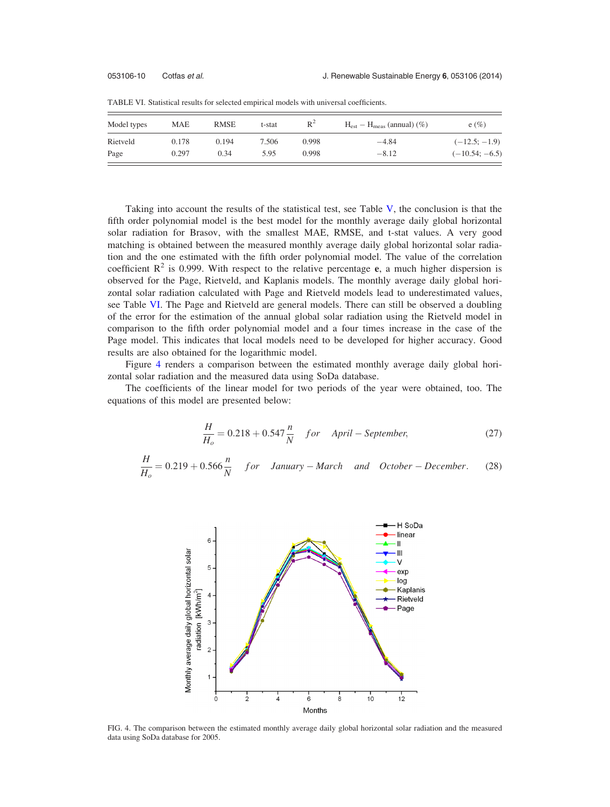| Model types | MAE   | <b>RMSE</b> | t-stat | $R^2$ | $H_{est} - H_{meas}$ (annual) (%) | $e(\%)$          |
|-------------|-------|-------------|--------|-------|-----------------------------------|------------------|
| Rietveld    | 0.178 | 0.194       | 7.506  | 0.998 | $-4.84$                           | $(-12.5; -1.9)$  |
| Page        | 0.297 | 0.34        | 5.95   | 0.998 | $-8.12$                           | $(-10.54; -6.5)$ |

TABLE VI. Statistical results for selected empirical models with universal coefficients.

Taking into account the results of the statistical test, see Table V, the conclusion is that the fifth order polynomial model is the best model for the monthly average daily global horizontal solar radiation for Brasov, with the smallest MAE, RMSE, and t-stat values. A very good matching is obtained between the measured monthly average daily global horizontal solar radiation and the one estimated with the fifth order polynomial model. The value of the correlation coefficient  $R^2$  is 0.999. With respect to the relative percentage e, a much higher dispersion is observed for the Page, Rietveld, and Kaplanis models. The monthly average daily global horizontal solar radiation calculated with Page and Rietveld models lead to underestimated values, see Table VI. The Page and Rietveld are general models. There can still be observed a doubling of the error for the estimation of the annual global solar radiation using the Rietveld model in comparison to the fifth order polynomial model and a four times increase in the case of the Page model. This indicates that local models need to be developed for higher accuracy. Good results are also obtained for the logarithmic model.

Figure 4 renders a comparison between the estimated monthly average daily global horizontal solar radiation and the measured data using SoDa database.

The coefficients of the linear model for two periods of the year were obtained, too. The equations of this model are presented below:

$$
\frac{H}{H_o} = 0.218 + 0.547 \frac{n}{N} \quad for \quad April - September,\tag{27}
$$

$$
\frac{H}{H_o} = 0.219 + 0.566 \frac{n}{N} \quad for \quad January - March \quad and \quad October - December. \tag{28}
$$



FIG. 4. The comparison between the estimated monthly average daily global horizontal solar radiation and the measured data using SoDa database for 2005.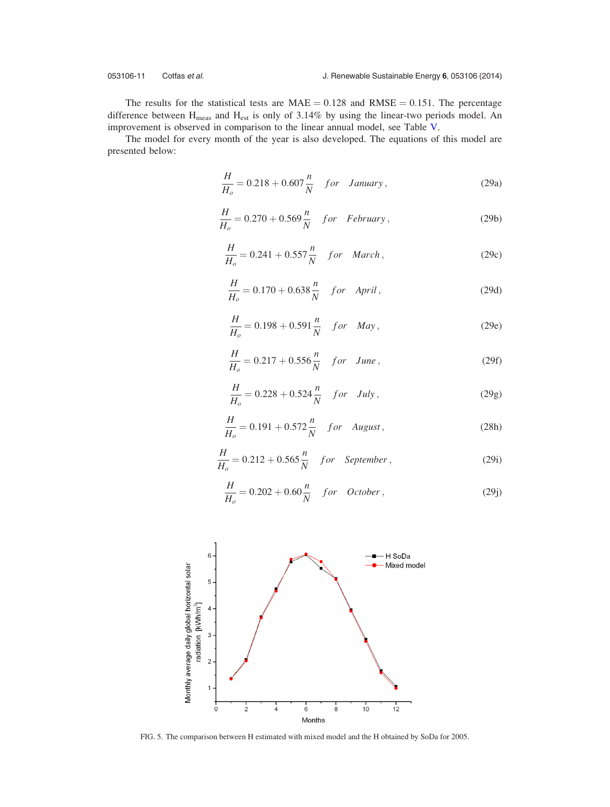The results for the statistical tests are  $MAE = 0.128$  and  $RMSE = 0.151$ . The percentage difference between  $H_{meas}$  and  $H_{est}$  is only of 3.14% by using the linear-two periods model. An improvement is observed in comparison to the linear annual model, see Table V.

The model for every month of the year is also developed. The equations of this model are presented below:

$$
\frac{H}{H_o} = 0.218 + 0.607 \frac{n}{N} \quad \text{for January}, \tag{29a}
$$

$$
\frac{H}{H_o} = 0.270 + 0.569 \frac{n}{N} \quad for \quad February \,, \tag{29b}
$$

$$
\frac{H}{H_o} = 0.241 + 0.557 \frac{n}{N} \quad for \quad March\,,\tag{29c}
$$

$$
\frac{H}{H_o} = 0.170 + 0.638 \frac{n}{N} \quad for \quad April\,,\tag{29d}
$$

$$
\frac{H}{H_o} = 0.198 + 0.591 \frac{n}{N} \quad for \quad May,
$$
\n(29e)

$$
\frac{H}{H_o} = 0.217 + 0.556 \frac{n}{N} \quad for \quad June \,, \tag{29f}
$$

$$
\frac{H}{H_o} = 0.228 + 0.524 \frac{n}{N} \quad for \quad July,\tag{29g}
$$

$$
\frac{H}{H_o} = 0.191 + 0.572 \frac{n}{N} \quad for \quad August \,, \tag{28h}
$$

$$
\frac{H}{H_o} = 0.212 + 0.565 \frac{n}{N} \quad for \quad September \,, \tag{29i}
$$

$$
\frac{H}{H_o} = 0.202 + 0.60 \frac{n}{N} \quad for \quad October \,, \tag{29}
$$



FIG. 5. The comparison between H estimated with mixed model and the H obtained by SoDa for 2005.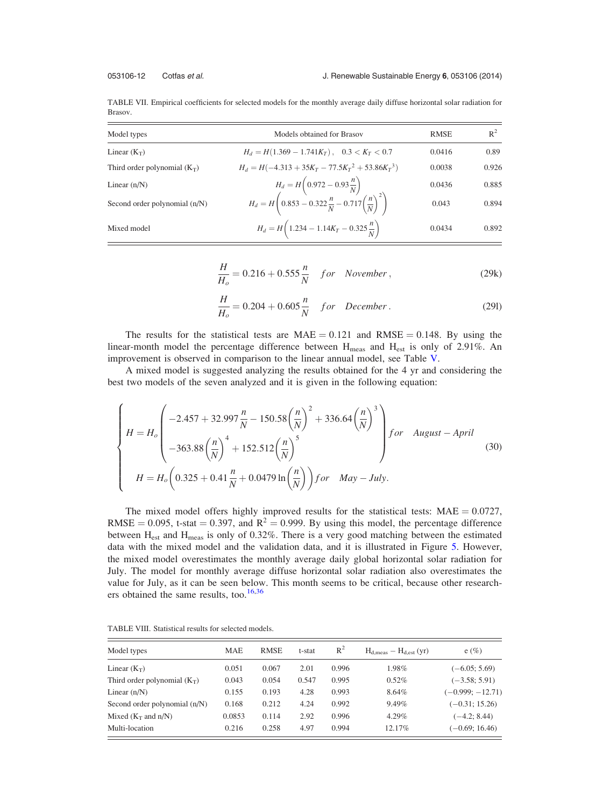TABLE VII. Empirical coefficients for selected models for the monthly average daily diffuse horizontal solar radiation for Brasov.

| Model types                     | Models obtained for Brasov                                                                                                          | <b>RMSE</b> | $R^2$ |
|---------------------------------|-------------------------------------------------------------------------------------------------------------------------------------|-------------|-------|
| Linear $(K_T)$                  | $H_d = H(1.369 - 1.741K_T), \quad 0.3 < K_T < 0.7$                                                                                  | 0.0416      | 0.89  |
| Third order polynomial $(K_T)$  | $H_d = H(-4.313 + 35K_T - 77.5K_T^2 + 53.86K_T^3)$                                                                                  | 0.0038      | 0.926 |
| Linear $(n/N)$                  |                                                                                                                                     | 0.0436      | 0.885 |
| Second order polynomial $(n/N)$ | $H_d = H\left(0.972 - 0.93 \frac{n}{N}\right)$<br>$H_d = H\left(0.853 - 0.322 \frac{n}{N} - 0.717\left(\frac{n}{N}\right)^2\right)$ | 0.043       | 0.894 |
| Mixed model                     | $H_d = H\left(1.234 - 1.14K_T - 0.325\frac{n}{N}\right)$                                                                            | 0.0434      | 0.892 |

$$
\frac{H}{H_o} = 0.216 + 0.555 \frac{n}{N} \quad for \quad November \,, \tag{29k}
$$

$$
\frac{H}{H_o} = 0.204 + 0.605 \frac{n}{N} \quad for \quad December \,. \tag{291}
$$

The results for the statistical tests are  $MAE = 0.121$  and  $RMSE = 0.148$ . By using the linear-month model the percentage difference between  $H_{meas}$  and  $H_{est}$  is only of 2.91%. An improvement is observed in comparison to the linear annual model, see Table V.

A mixed model is suggested analyzing the results obtained for the 4 yr and considering the best two models of the seven analyzed and it is given in the following equation:

$$
\left\{ H = H_o \left( \frac{-2.457 + 32.997 \frac{n}{N} - 150.58 \left( \frac{n}{N} \right)^2 + 336.64 \left( \frac{n}{N} \right)^3}{-363.88 \left( \frac{n}{N} \right)^4 + 152.512 \left( \frac{n}{N} \right)^5} \right\}
$$
for August – April  

$$
H = H_o \left( 0.325 + 0.41 \frac{n}{N} + 0.0479 \ln \left( \frac{n}{N} \right) \right)
$$
for May – July. (30)

The mixed model offers highly improved results for the statistical tests:  $MAE = 0.0727$ , RMSE = 0.095, t-stat = 0.397, and  $R^2$  = 0.999. By using this model, the percentage difference between H<sub>est</sub> and H<sub>meas</sub> is only of 0.32%. There is a very good matching between the estimated data with the mixed model and the validation data, and it is illustrated in Figure 5. However, the mixed model overestimates the monthly average daily global horizontal solar radiation for July. The model for monthly average diffuse horizontal solar radiation also overestimates the value for July, as it can be seen below. This month seems to be critical, because other researchers obtained the same results, too. $16,36$ 

| Model types                     | <b>MAE</b> | <b>RMSE</b> | t-stat | $R^2$ | $H_{d,meas} - H_{d,est}$ (yr) | $e(\%)$            |
|---------------------------------|------------|-------------|--------|-------|-------------------------------|--------------------|
| Linear $(K_T)$                  | 0.051      | 0.067       | 2.01   | 0.996 | 1.98%                         | $(-6.05; 5.69)$    |
| Third order polynomial $(K_T)$  | 0.043      | 0.054       | 0.547  | 0.995 | $0.52\%$                      | $(-3.58; 5.91)$    |
| Linear $(n/N)$                  | 0.155      | 0.193       | 4.28   | 0.993 | 8.64%                         | $(-0.999; -12.71)$ |
| Second order polynomial $(n/N)$ | 0.168      | 0.212       | 4.24   | 0.992 | 9.49%                         | $(-0.31; 15.26)$   |
| Mixed $(K_T \text{ and } n/N)$  | 0.0853     | 0.114       | 2.92   | 0.996 | 4.29%                         | $(-4.2; 8.44)$     |
| Multi-location                  | 0.216      | 0.258       | 4.97   | 0.994 | $12.17\%$                     | $(-0.69; 16.46)$   |

TABLE VIII. Statistical results for selected models.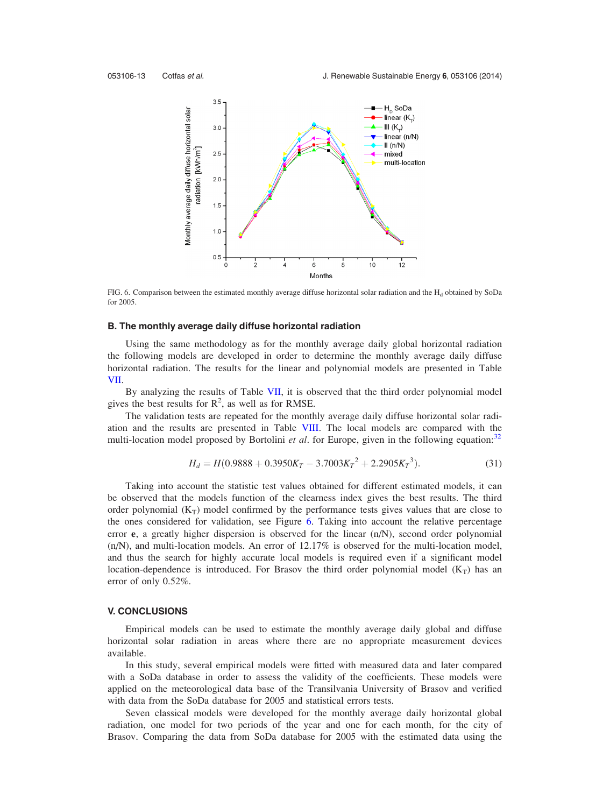053106-13 Cotfas et al.  $\blacksquare$  J. Renewable Sustainable Energy 6, 053106 (2014)



FIG. 6. Comparison between the estimated monthly average diffuse horizontal solar radiation and the  $H_d$  obtained by SoDa for 2005.

## B. The monthly average daily diffuse horizontal radiation

Using the same methodology as for the monthly average daily global horizontal radiation the following models are developed in order to determine the monthly average daily diffuse horizontal radiation. The results for the linear and polynomial models are presented in Table VII.

By analyzing the results of Table VII, it is observed that the third order polynomial model gives the best results for  $R^2$ , as well as for RMSE.

The validation tests are repeated for the monthly average daily diffuse horizontal solar radiation and the results are presented in Table VIII. The local models are compared with the multi-location model proposed by Bortolini *et al.* for Europe, given in the following equation:<sup>32</sup>

$$
H_d = H(0.9888 + 0.3950K_T - 3.7003K_T^2 + 2.2905K_T^3). \tag{31}
$$

Taking into account the statistic test values obtained for different estimated models, it can be observed that the models function of the clearness index gives the best results. The third order polynomial  $(K_T)$  model confirmed by the performance tests gives values that are close to the ones considered for validation, see Figure 6. Taking into account the relative percentage error **e**, a greatly higher dispersion is observed for the linear  $(n/N)$ , second order polynomial  $(n/N)$ , and multi-location models. An error of 12.17% is observed for the multi-location model, and thus the search for highly accurate local models is required even if a significant model location-dependence is introduced. For Brasov the third order polynomial model  $(K_T)$  has an error of only 0.52%.

# V. CONCLUSIONS

Empirical models can be used to estimate the monthly average daily global and diffuse horizontal solar radiation in areas where there are no appropriate measurement devices available.

In this study, several empirical models were fitted with measured data and later compared with a SoDa database in order to assess the validity of the coefficients. These models were applied on the meteorological data base of the Transilvania University of Brasov and verified with data from the SoDa database for 2005 and statistical errors tests.

Seven classical models were developed for the monthly average daily horizontal global radiation, one model for two periods of the year and one for each month, for the city of Brasov. Comparing the data from SoDa database for 2005 with the estimated data using the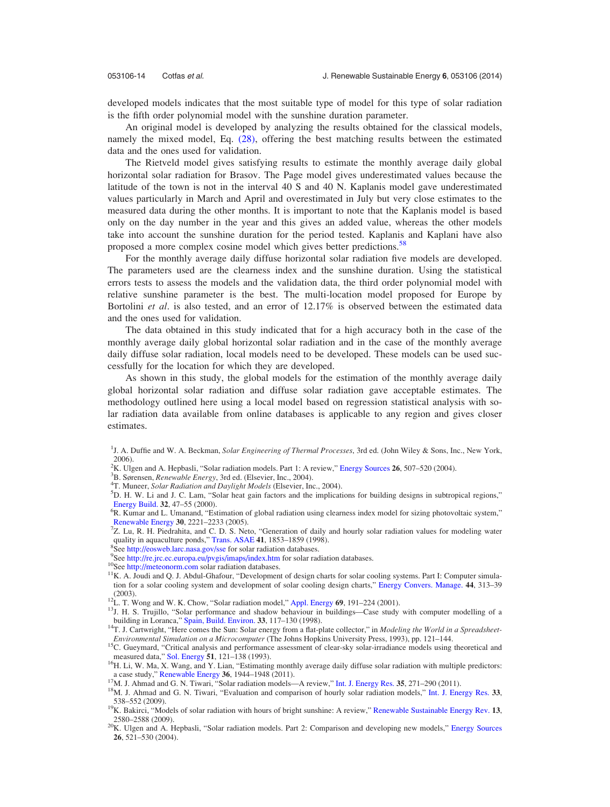developed models indicates that the most suitable type of model for this type of solar radiation is the fifth order polynomial model with the sunshine duration parameter.

An original model is developed by analyzing the results obtained for the classical models, namely the mixed model, Eq. (28), offering the best matching results between the estimated data and the ones used for validation.

The Rietveld model gives satisfying results to estimate the monthly average daily global horizontal solar radiation for Brasov. The Page model gives underestimated values because the latitude of the town is not in the interval 40 S and 40 N. Kaplanis model gave underestimated values particularly in March and April and overestimated in July but very close estimates to the measured data during the other months. It is important to note that the Kaplanis model is based only on the day number in the year and this gives an added value, whereas the other models take into account the sunshine duration for the period tested. Kaplanis and Kaplani have also proposed a more complex cosine model which gives better predictions.<sup>58</sup>

For the monthly average daily diffuse horizontal solar radiation five models are developed. The parameters used are the clearness index and the sunshine duration. Using the statistical errors tests to assess the models and the validation data, the third order polynomial model with relative sunshine parameter is the best. The multi-location model proposed for Europe by Bortolini *et al.* is also tested, and an error of 12.17% is observed between the estimated data and the ones used for validation.

The data obtained in this study indicated that for a high accuracy both in the case of the monthly average daily global horizontal solar radiation and in the case of the monthly average daily diffuse solar radiation, local models need to be developed. These models can be used successfully for the location for which they are developed.

As shown in this study, the global models for the estimation of the monthly average daily global horizontal solar radiation and diffuse solar radiation gave acceptable estimates. The methodology outlined here using a local model based on regression statistical analysis with solar radiation data available from online databases is applicable to any region and gives closer estimates.

<sup>3</sup>B. Sørensen, Renewable Energy, 3rd ed. (Elsevier, Inc., 2004).

<sup>&</sup>lt;sup>1</sup>J. A. Duffie and W. A. Beckman, Solar Engineering of Thermal Processes, 3rd ed. (John Wiley & Sons, Inc., New York, 2006).

<sup>&</sup>lt;sup>2</sup>K. Ulgen and A. Hepbasli, "Solar radiation models. Part 1: A review," Energy Sources 26, 507–520 (2004).

 ${}^{4}$ T. Muneer, Solar Radiation and Daylight Models (Elsevier, Inc., 2004).

 ${}^{5}D$ . H. W. Li and J. C. Lam, "Solar heat gain factors and the implications for building designs in subtropical regions," Energy Build. 32, 47–55 (2000).

<sup>&</sup>lt;sup>6</sup>R. Kumar and L. Umanand, "Estimation of global radiation using clearness index model for sizing photovoltaic system,"<br>Renewable Energy 30, 2221–2233 (2005).

Renewable Energy 30, 2221–2233 (2005).<br><sup>7</sup>Z. Lu, R. H. Piedrahita, and C. D. S. Neto, "Generation of daily and hourly solar radiation values for modeling water quality in aquaculture ponds," Trans. ASAE 41, 1853-1859 (1998).

<sup>&</sup>lt;sup>8</sup>See http://eosweb.larc.nasa.gov/sse for solar radiation databases.<br><sup>9</sup>See http://re.jrc.ec.europa.eu/pvgis/imaps/index.htm for solar radiation databases.

<sup>&</sup>lt;sup>10</sup>See http://meteonorm.com solar radiation databases.<br><sup>11</sup>K. A. Joudi and Q. J. Abdul-Ghafour, "Development of design charts for solar cooling systems. Part I: Computer simulation for a solar cooling system and development of solar cooling design charts," Energy Convers. Manage. 44, 313–39

<sup>(2003). &</sup>lt;sup>12</sup>L. T. Wong and W. K. Chow, "Solar radiation model," Appl. Energy **69**, 191–224 (2001). <sup>13</sup>J. H. S. Trujillo, "Solar performance and shadow behaviour in buildings—Case study with computer modelling of a buildi

<sup>&</sup>lt;sup>14</sup>T. J. Cartwright, "Here comes the Sun: Solar energy from a flat-plate collector," in *Modeling the World in a Spreadsheet-*<br>Environmental Simulation on a Microcomputer (The Johns Hopkins University Press, 1993), pp. 1

<sup>&</sup>lt;sup>15</sup>C. Gueymard, "Critical analysis and performance assessment of clear-sky solar-irradiance models using theoretical and measured data," Sol. Energy 51, 121–138 (1993).

<sup>&</sup>lt;sup>16</sup>H. Li, W. Ma, X. Wang, and Y. Lian, "Estimating monthly average daily diffuse solar radiation with multiple predictors:

a case study," Renewable Energy 36, 1944–1948 (2011).<br><sup>17</sup>M. J. Ahmad and G. N. Tiwari, "Solar radiation models—A review," Int. J. Energy Res. 35, 271–290 (2011).<br><sup>18</sup>M. J. Ahmad and G. N. Tiwari, "Evaluation and comparis

<sup>&</sup>lt;sup>19</sup>K. Bakirci, "Models of solar radiation with hours of bright sunshine: A review," Renewable Sustainable Energy Rev. 13, 2580–2588 (2009)

<sup>&</sup>lt;sup>20</sup>K. Ulgen and A. Hepbasli, "Solar radiation models. Part 2: Comparison and developing new models," Energy Sources 26, 521–530 (2004).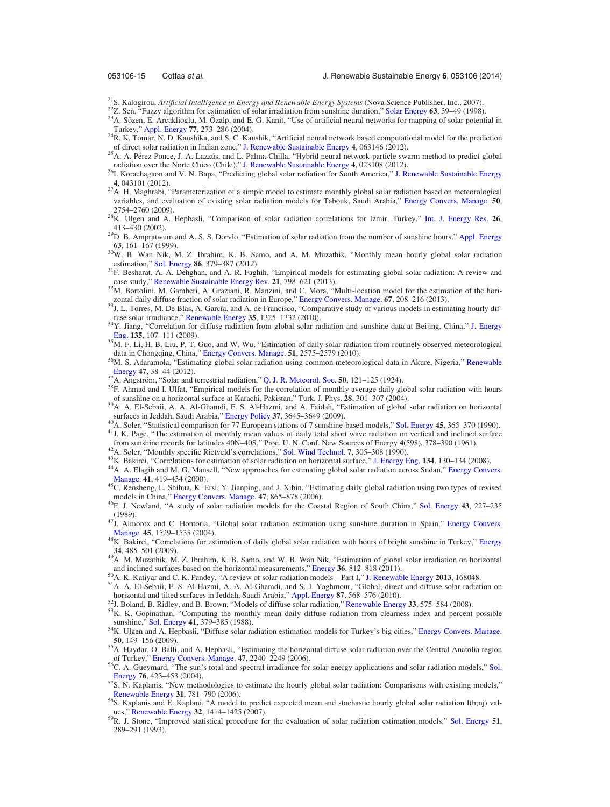<sup>21</sup>S. Kalogirou, *Artificial Intelligence in Energy and Renewable Energy Systems* (Nova Science Publisher, Inc., 2007).<br><sup>22</sup>Z. Sen, "Fuzzy algorithm for estimation of solar irradiation from sunshine duration," Solar Ener <sup>23</sup>A. Sözen, E. Arcaklioğlu, M. Özalp, and E. G. Kanit, "Use of artificial neural networks for mapping of solar potential in

 $^{24}R$ . K. Tomar, N. D. Kaushika, and S. C. Kaushik, "Artificial neural network based computational model for the prediction

of direct solar radiation in Indian zone," J. Renewable Sustainable Energy 4, 063146 (2012).<br><sup>25</sup>A. A. Pérez Ponce, J. A. Lazzús, and L. Palma-Chilla, "Hybrid neural network-particle swarm method to predict global radiatio

<sup>26</sup>I. Korachagaon and V. N. Bapa, "Predicting global solar radiation for South America," J. Renewable Sustainable Energy **4**, 043101 (2012).

<sup>27</sup>A. H. Maghrabi, "Parameterization of a simple model to estimate monthly global solar radiation based on meteorological variables, and evaluation of existing solar radiation models for Tabouk, Saudi Arabia," Energy Convers. Manage. 50, 2754-2760 (2009).

 $^{28}$ K. Ulgen and A. Hepbasli, "Comparison of solar radiation correlations for Izmir, Turkey," Int. J. Energy Res. 26, 413-430 (2002).

 $^{20}$ D. B. Ampratwum and A. S. S. Dorvlo, "Estimation of solar radiation from the number of sunshine hours," Appl. Energy 63, 161–167 (1999).

 $^{30}$ W. B. Wan Nik, M. Z. Ibrahim, K. B. Samo, and A. M. Muzathik, "Monthly mean hourly global solar radiation estimation," Sol. Energy 86, 379–387 (2012).

<sup>31</sup>F. Besharat, A. A. Dehghan, and A. R. Faghih, "Empirical models for estimating global solar radiation: A review and case study," Renewable Sustainable Energy Rev. 21, 798–621 (2013).

<sup>32</sup>M. Bortolini, M. Gamberi, A. Graziani, R. Manzini, and C. Mora, "Multi-location model for the estimation of the hori-<br>zontal daily diffuse fraction of solar radiation in Europe," Energy Convers. Manage. **67**, 208–216

 $^{33}$ J. L. Torres, M. De Blas, A. García, and A. de Francisco, "Comparative study of various models in estimating hourly diffuse solar irradiance," Renewable Energy 35, 1325–1332 (2010).

 $^{34}Y$ . Jiang, "Correlation for diffuse radiation from global solar radiation and sunshine data at Beijing, China," J. Energy Eng. 135, 107-111 (2009).

 $^{35}$ M. F. Li, H. B. Liu, P. T. Guo, and W. Wu, "Estimation of daily solar radiation from routinely observed meteorological data in Chongqing, China," Energy Convers. Manage. 51, 2575–2579 (2010).

<sup>36</sup>M. S. Adaramola, "Estimating global solar radiation using common meteorological data in Akure, Nigeria," Renewable<br>Energy 47, 38–44 (2012).

<sup>37</sup> A. Angström, "Solar and terrestrial radiation," Q. J. R. Meteorol. Soc. 50, 121–125 (1924).<br><sup>38</sup> F. Ahmad and I. Ulfat, "Empirical models for the correlation of monthly average daily global solar radiation with hours

<sup>39</sup>A. A. El-Sebaii, A. A. Al-Ghamdi, F. S. Al-Hazmi, and A. Faidah, "Estimation of global solar radiation on horizontal surfaces in Jeddah, Saudi Arabia," Energy Policy 37, 3645–3649 (2009).<br><sup>40</sup>A. Soler, "Statistical comparison for 77 European stations of 7 sunshine-based models," Sol. Energy 45, 365–370 (1990).<br><sup>41</sup>J. K. Page, "The estima

from sunshine records for latitudes 40N-40S," Proc. U. N. Conf. New Sources of Energy 4(598), 378-390 (1961).<br><sup>42</sup>A. Soler, "Monthly specific Rietveld's correlations," Sol. Wind Technol. 7, 305-308 (1990).<br><sup>43</sup>K. Bakirci,

 $^{45}$ C. Rensheng, L. Shihua, K. Ersi, Y. Jianping, and J. Xibin, "Estimating daily global radiation using two types of revised models in China," Energy Convers. Manage. 47, 865–878 (2006).

models in China," Energy Converse to discusse of the Coastal Region of South China," Sol. Energy 43, 227–235

(1989).  $47J$ . Almorox and C. Hontoria, "Global solar radiation estimation using sunshine duration in Spain," Energy Convers. Manage. 45, 1529–1535 (2004).

<sup>48</sup>K. Bakirci, "Correlations for estimation of daily global solar radiation with hours of bright sunshine in Turkey," Energy

34, 485–501 (2009).<br><sup>49</sup>A. M. Muzathik, M. Z. Ibrahim, K. B. Samo, and W. B. Wan Nik, "Estimation of global solar irradiation on horizontal<br>and inclined surfaces based on the horizontal measurements," Energy 36, 812–818 (2

<sup>50</sup> A. K. Katiyar and C. K. Pandey, "A review of solar radiation models—Part I," J. Renewable Energy 2013, 168048.<br><sup>51</sup> A. A. El-Sebaii, F. S. Al-Hazmi, A. A. Al-Ghamdi, and S. J. Yaghmour, "Global, direct and diffuse so

 $^{52}$ J. Boland, B. Ridley, and B. Brown, "Models of diffuse solar radiation," Renewable Energy 33, 575–584 (2008).<br> $^{53}$ K. K. Gopinathan, "Computing the monthly mean daily diffuse radiation from clearness index and perc

<sup>54</sup>K. Ulgen and A. Hepbasli, "Diffuse solar radiation estimation models for Turkey's big cities," Energy Convers. Manage.  $50, 149-156$  (2009).

<sup>55</sup>A. Haydar, O. Balli, and A. Hepbasli, "Estimating the horizontal diffuse solar radiation over the Central Anatolia region of Turkey," Energy Convers. Manage.  $47$ , 2240–2249 (2006).

sec. A. Gueymard, "The sun's total and spectral irradiance for solar energy applications and solar radiation models," Sol.<br>Energy 76, 423–453 (2004).

<sup>57</sup>S. N. Kaplanis, "New methodologies to estimate the hourly global solar radiation: Comparisons with existing models,"<br>Renewable Energy 31, 781–790 (2006).

<sup>58</sup>S. Kaplanis and E. Kaplani, "A model to predict expected mean and stochastic hourly global solar radiation I(h;nj) values," Renewable Energy 32, 1414–1425 (2007).

spectrum Energy 22, 1414–1425 (2007). Stone, "Improved statistical procedure for the evaluation of solar radiation estimation models," Sol. Energy 51, 289–291 (1993).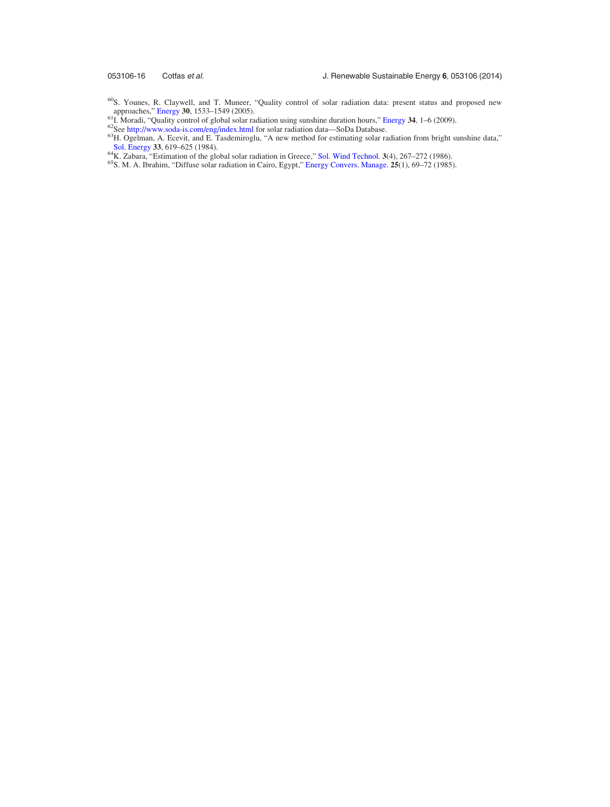<sup>60</sup>S. Younes, R. Claywell, and T. Muneer, "Quality control of solar radiation data: present status and proposed new approaches," Energy 30, 1533–1549 (2005).<br><sup>61</sup>I. Moradi, "Quality control of global solar radiation using sunshine duration hours," Energy 34, 1–6 (2009).<br><sup>62</sup>See http://www.soda-is.com/eng/index.html for solar radiation d

- 
- 
- Sol. Energy 33, 619–625 (1984).<br>
<sup>64</sup>K. Zabara, "Estimation of the global solar radiation in Greece," Sol. Wind Technol. 3(4), 267–272 (1986).<br>
<sup>65</sup>S. M. A. Ibrahim, "Diffuse solar radiation in Cairo, Egypt," Energy Conver
- 
-